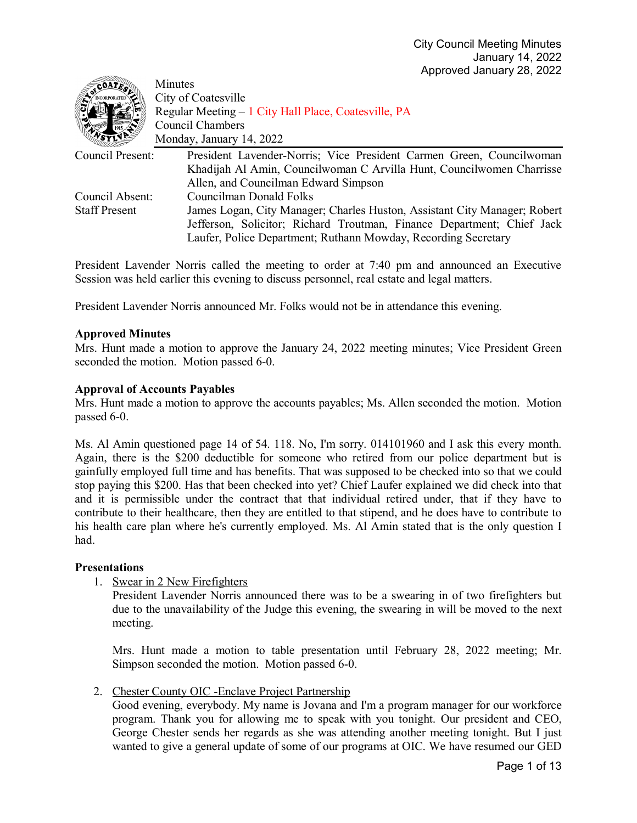| COATE.               | Minutes                                                                   |
|----------------------|---------------------------------------------------------------------------|
|                      | City of Coatesville                                                       |
|                      | Regular Meeting – 1 City Hall Place, Coatesville, PA                      |
|                      | Council Chambers                                                          |
|                      | Monday, January 14, 2022                                                  |
| Council Present:     | President Lavender-Norris; Vice President Carmen Green, Councilwoman      |
|                      | Khadijah Al Amin, Councilwoman C Arvilla Hunt, Councilwomen Charrisse     |
|                      | Allen, and Councilman Edward Simpson                                      |
| Council Absent:      | Councilman Donald Folks                                                   |
| <b>Staff Present</b> | James Logan, City Manager; Charles Huston, Assistant City Manager; Robert |
|                      | Jefferson, Solicitor; Richard Troutman, Finance Department; Chief Jack    |
|                      | Laufer, Police Department; Ruthann Mowday, Recording Secretary            |

President Lavender Norris called the meeting to order at 7:40 pm and announced an Executive Session was held earlier this evening to discuss personnel, real estate and legal matters.

President Lavender Norris announced Mr. Folks would not be in attendance this evening.

## **Approved Minutes**

Mrs. Hunt made a motion to approve the January 24, 2022 meeting minutes; Vice President Green seconded the motion. Motion passed 6-0.

## **Approval of Accounts Payables**

Mrs. Hunt made a motion to approve the accounts payables; Ms. Allen seconded the motion. Motion passed 6-0.

Ms. Al Amin questioned page 14 of 54. 118. No, I'm sorry. 014101960 and I ask this every month. Again, there is the \$200 deductible for someone who retired from our police department but is gainfully employed full time and has benefits. That was supposed to be checked into so that we could stop paying this \$200. Has that been checked into yet? Chief Laufer explained we did check into that and it is permissible under the contract that that individual retired under, that if they have to contribute to their healthcare, then they are entitled to that stipend, and he does have to contribute to his health care plan where he's currently employed. Ms. Al Amin stated that is the only question I had.

### **Presentations**

1. Swear in 2 New Firefighters

President Lavender Norris announced there was to be a swearing in of two firefighters but due to the unavailability of the Judge this evening, the swearing in will be moved to the next meeting.

Mrs. Hunt made a motion to table presentation until February 28, 2022 meeting; Mr. Simpson seconded the motion. Motion passed 6-0.

2. Chester County OIC - Enclave Project Partnership

Good evening, everybody. My name is Jovana and I'm a program manager for our workforce program. Thank you for allowing me to speak with you tonight. Our president and CEO, George Chester sends her regards as she was attending another meeting tonight. But I just wanted to give a general update of some of our programs at OIC. We have resumed our GED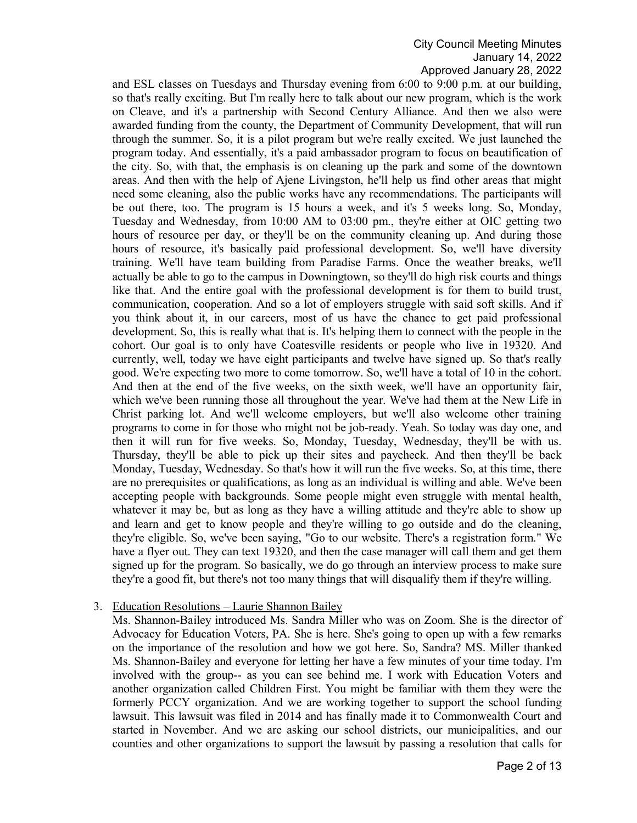and ESL classes on Tuesdays and Thursday evening from 6:00 to 9:00 p.m. at our building, so that's really exciting. But I'm really here to talk about our new program, which is the work on Cleave, and it's a partnership with Second Century Alliance. And then we also were awarded funding from the county, the Department of Community Development, that will run through the summer. So, it is a pilot program but we're really excited. We just launched the program today. And essentially, it's a paid ambassador program to focus on beautification of the city. So, with that, the emphasis is on cleaning up the park and some of the downtown areas. And then with the help of Ajene Livingston, he'll help us find other areas that might need some cleaning, also the public works have any recommendations. The participants will be out there, too. The program is 15 hours a week, and it's 5 weeks long. So, Monday, Tuesday and Wednesday, from 10:00 AM to 03:00 pm., they're either at OIC getting two hours of resource per day, or they'll be on the community cleaning up. And during those hours of resource, it's basically paid professional development. So, we'll have diversity training. We'll have team building from Paradise Farms. Once the weather breaks, we'll actually be able to go to the campus in Downingtown, so they'll do high risk courts and things like that. And the entire goal with the professional development is for them to build trust, communication, cooperation. And so a lot of employers struggle with said soft skills. And if you think about it, in our careers, most of us have the chance to get paid professional development. So, this is really what that is. It's helping them to connect with the people in the cohort. Our goal is to only have Coatesville residents or people who live in 19320. And currently, well, today we have eight participants and twelve have signed up. So that's really good. We're expecting two more to come tomorrow. So, we'll have a total of 10 in the cohort. And then at the end of the five weeks, on the sixth week, we'll have an opportunity fair, which we've been running those all throughout the year. We've had them at the New Life in Christ parking lot. And we'll welcome employers, but we'll also welcome other training programs to come in for those who might not be job-ready. Yeah. So today was day one, and then it will run for five weeks. So, Monday, Tuesday, Wednesday, they'll be with us. Thursday, they'll be able to pick up their sites and paycheck. And then they'll be back Monday, Tuesday, Wednesday. So that's how it will run the five weeks. So, at this time, there are no prerequisites or qualifications, as long as an individual is willing and able. We've been accepting people with backgrounds. Some people might even struggle with mental health, whatever it may be, but as long as they have a willing attitude and they're able to show up and learn and get to know people and they're willing to go outside and do the cleaning, they're eligible. So, we've been saying, "Go to our website. There's a registration form." We have a flyer out. They can text 19320, and then the case manager will call them and get them signed up for the program. So basically, we do go through an interview process to make sure they're a good fit, but there's not too many things that will disqualify them if they're willing.

### 3. Education Resolutions – Laurie Shannon Bailey

Ms. Shannon-Bailey introduced Ms. Sandra Miller who was on Zoom. She is the director of Advocacy for Education Voters, PA. She is here. She's going to open up with a few remarks on the importance of the resolution and how we got here. So, Sandra? MS. Miller thanked Ms. Shannon-Bailey and everyone for letting her have a few minutes of your time today. I'm involved with the group-- as you can see behind me. I work with Education Voters and another organization called Children First. You might be familiar with them they were the formerly PCCY organization. And we are working together to support the school funding lawsuit. This lawsuit was filed in 2014 and has finally made it to Commonwealth Court and started in November. And we are asking our school districts, our municipalities, and our counties and other organizations to support the lawsuit by passing a resolution that calls for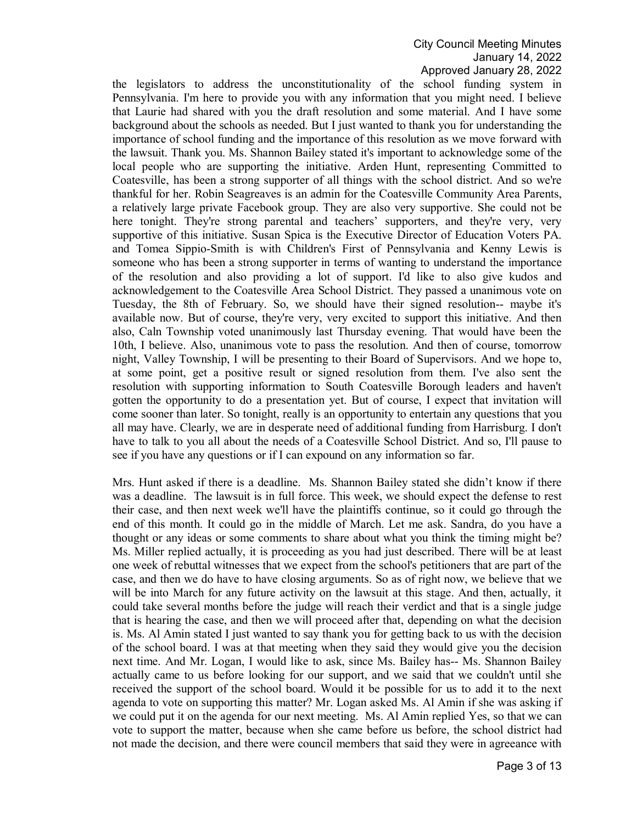the legislators to address the unconstitutionality of the school funding system in Pennsylvania. I'm here to provide you with any information that you might need. I believe that Laurie had shared with you the draft resolution and some material. And I have some background about the schools as needed. But I just wanted to thank you for understanding the importance of school funding and the importance of this resolution as we move forward with the lawsuit. Thank you. Ms. Shannon Bailey stated it's important to acknowledge some of the local people who are supporting the initiative. Arden Hunt, representing Committed to Coatesville, has been a strong supporter of all things with the school district. And so we're thankful for her. Robin Seagreaves is an admin for the Coatesville Community Area Parents, a relatively large private Facebook group. They are also very supportive. She could not be here tonight. They're strong parental and teachers' supporters, and they're very, very supportive of this initiative. Susan Spica is the Executive Director of Education Voters PA. and Tomea Sippio-Smith is with Children's First of Pennsylvania and Kenny Lewis is someone who has been a strong supporter in terms of wanting to understand the importance of the resolution and also providing a lot of support. I'd like to also give kudos and acknowledgement to the Coatesville Area School District. They passed a unanimous vote on Tuesday, the 8th of February. So, we should have their signed resolution-- maybe it's available now. But of course, they're very, very excited to support this initiative. And then also, Caln Township voted unanimously last Thursday evening. That would have been the 10th, I believe. Also, unanimous vote to pass the resolution. And then of course, tomorrow night, Valley Township, I will be presenting to their Board of Supervisors. And we hope to, at some point, get a positive result or signed resolution from them. I've also sent the resolution with supporting information to South Coatesville Borough leaders and haven't gotten the opportunity to do a presentation yet. But of course, I expect that invitation will come sooner than later. So tonight, really is an opportunity to entertain any questions that you all may have. Clearly, we are in desperate need of additional funding from Harrisburg. I don't have to talk to you all about the needs of a Coatesville School District. And so, I'll pause to see if you have any questions or if I can expound on any information so far.

Mrs. Hunt asked if there is a deadline. Ms. Shannon Bailey stated she didn't know if there was a deadline. The lawsuit is in full force. This week, we should expect the defense to rest their case, and then next week we'll have the plaintiffs continue, so it could go through the end of this month. It could go in the middle of March. Let me ask. Sandra, do you have a thought or any ideas or some comments to share about what you think the timing might be? Ms. Miller replied actually, it is proceeding as you had just described. There will be at least one week of rebuttal witnesses that we expect from the school's petitioners that are part of the case, and then we do have to have closing arguments. So as of right now, we believe that we will be into March for any future activity on the lawsuit at this stage. And then, actually, it could take several months before the judge will reach their verdict and that is a single judge that is hearing the case, and then we will proceed after that, depending on what the decision is. Ms. Al Amin stated I just wanted to say thank you for getting back to us with the decision of the school board. I was at that meeting when they said they would give you the decision next time. And Mr. Logan, I would like to ask, since Ms. Bailey has-- Ms. Shannon Bailey actually came to us before looking for our support, and we said that we couldn't until she received the support of the school board. Would it be possible for us to add it to the next agenda to vote on supporting this matter? Mr. Logan asked Ms. Al Amin if she was asking if we could put it on the agenda for our next meeting. Ms. Al Amin replied Yes, so that we can vote to support the matter, because when she came before us before, the school district had not made the decision, and there were council members that said they were in agreeance with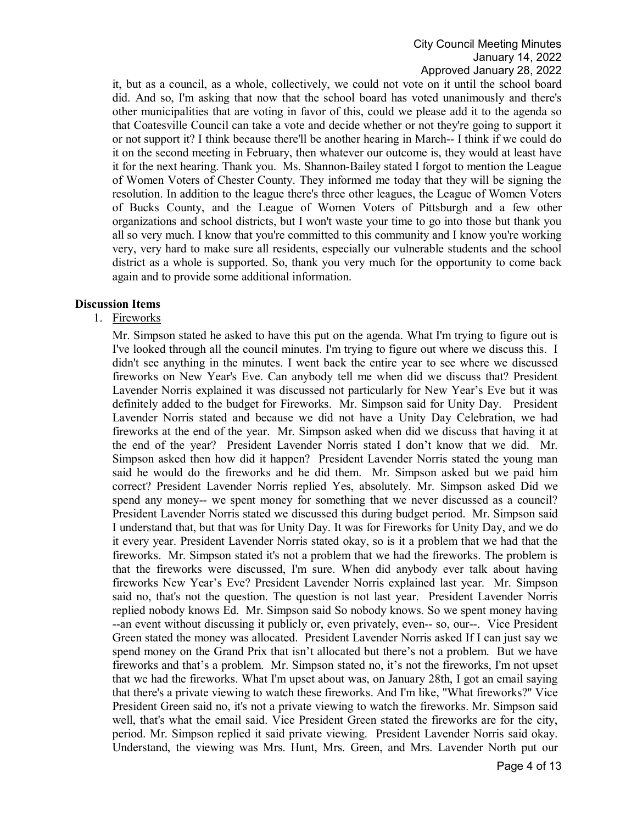it, but as a council, as a whole, collectively, we could not vote on it until the school board did. And so, I'm asking that now that the school board has voted unanimously and there's other municipalities that are voting in favor of this, could we please add it to the agenda so that Coatesville Council can take a vote and decide whether or not they're going to support it or not support it? I think because there'll be another hearing in March-- I think if we could do it on the second meeting in February, then whatever our outcome is, they would at least have it for the next hearing. Thank you. Ms. Shannon-Bailey stated I forgot to mention the League of Women Voters of Chester County. They informed me today that they will be signing the resolution. In addition to the league there's three other leagues, the League of Women Voters of Bucks County, and the League of Women Voters of Pittsburgh and a few other organizations and school districts, but I won't waste your time to go into those but thank you all so very much. I know that you're committed to this community and I know you're working very, very hard to make sure all residents, especially our vulnerable students and the school district as a whole is supported. So, thank you very much for the opportunity to come back again and to provide some additional information.

#### **Discussion Items**

# 1. Fireworks

Mr. Simpson stated he asked to have this put on the agenda. What I'm trying to figure out is I've looked through all the council minutes. I'm trying to figure out where we discuss this. I didn't see anything in the minutes. I went back the entire year to see where we discussed fireworks on New Year's Eve. Can anybody tell me when did we discuss that? President Lavender Norris explained it was discussed not particularly for New Year's Eve but it was definitely added to the budget for Fireworks. Mr. Simpson said for Unity Day. President Lavender Norris stated and because we did not have a Unity Day Celebration, we had fireworks at the end of the year. Mr. Simpson asked when did we discuss that having it at the end of the year? President Lavender Norris stated I don't know that we did. Mr. Simpson asked then how did it happen? President Lavender Norris stated the young man said he would do the fireworks and he did them. Mr. Simpson asked but we paid him correct? President Lavender Norris replied Yes, absolutely. Mr. Simpson asked Did we spend any money-- we spent money for something that we never discussed as a council? President Lavender Norris stated we discussed this during budget period. Mr. Simpson said I understand that, but that was for Unity Day. It was for Fireworks for Unity Day, and we do it every year. President Lavender Norris stated okay, so is it a problem that we had that the fireworks. Mr. Simpson stated it's not a problem that we had the fireworks. The problem is that the fireworks were discussed, I'm sure. When did anybody ever talk about having fireworks New Year's Eve? President Lavender Norris explained last year. Mr. Simpson said no, that's not the question. The question is not last year. President Lavender Norris replied nobody knows Ed. Mr. Simpson said So nobody knows. So we spent money having --an event without discussing it publicly or, even privately, even-- so, our--. Vice President Green stated the money was allocated. President Lavender Norris asked If I can just say we spend money on the Grand Prix that isn't allocated but there's not a problem. But we have fireworks and that's a problem. Mr. Simpson stated no, it's not the fireworks, I'm not upset that we had the fireworks. What I'm upset about was, on January 28th, I got an email saying that there's a private viewing to watch these fireworks. And I'm like, "What fireworks?" Vice President Green said no, it's not a private viewing to watch the fireworks. Mr. Simpson said well, that's what the email said. Vice President Green stated the fireworks are for the city, period. Mr. Simpson replied it said private viewing. President Lavender Norris said okay. Understand, the viewing was Mrs. Hunt, Mrs. Green, and Mrs. Lavender North put our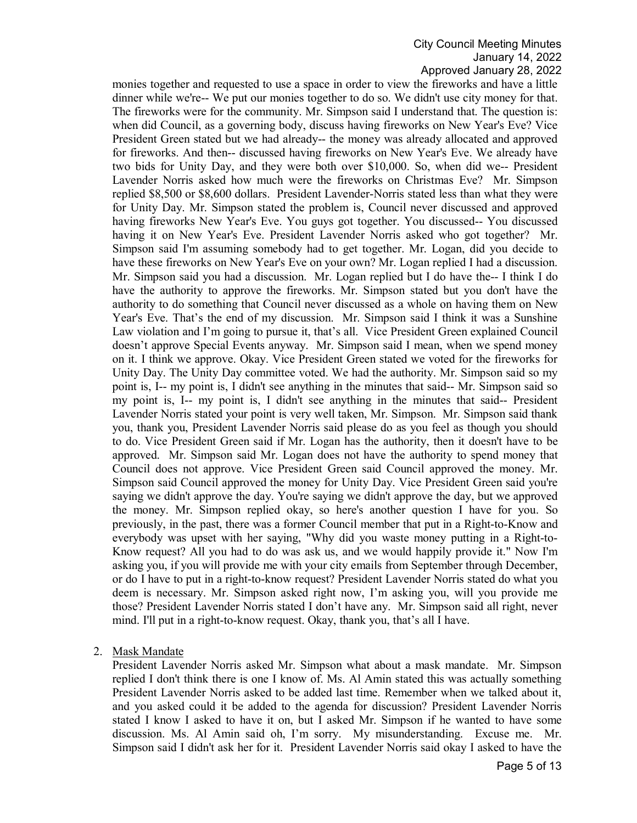monies together and requested to use a space in order to view the fireworks and have a little dinner while we're-- We put our monies together to do so. We didn't use city money for that. The fireworks were for the community. Mr. Simpson said I understand that. The question is: when did Council, as a governing body, discuss having fireworks on New Year's Eve? Vice President Green stated but we had already-- the money was already allocated and approved for fireworks. And then-- discussed having fireworks on New Year's Eve. We already have two bids for Unity Day, and they were both over \$10,000. So, when did we-- President Lavender Norris asked how much were the fireworks on Christmas Eve? Mr. Simpson replied \$8,500 or \$8,600 dollars. President Lavender-Norris stated less than what they were for Unity Day. Mr. Simpson stated the problem is, Council never discussed and approved having fireworks New Year's Eve. You guys got together. You discussed-- You discussed having it on New Year's Eve. President Lavender Norris asked who got together? Mr. Simpson said I'm assuming somebody had to get together. Mr. Logan, did you decide to have these fireworks on New Year's Eve on your own? Mr. Logan replied I had a discussion. Mr. Simpson said you had a discussion. Mr. Logan replied but I do have the-- I think I do have the authority to approve the fireworks. Mr. Simpson stated but you don't have the authority to do something that Council never discussed as a whole on having them on New Year's Eve. That's the end of my discussion. Mr. Simpson said I think it was a Sunshine Law violation and I'm going to pursue it, that's all. Vice President Green explained Council doesn't approve Special Events anyway. Mr. Simpson said I mean, when we spend money on it. I think we approve. Okay. Vice President Green stated we voted for the fireworks for Unity Day. The Unity Day committee voted. We had the authority. Mr. Simpson said so my point is, I-- my point is, I didn't see anything in the minutes that said-- Mr. Simpson said so my point is, I-- my point is, I didn't see anything in the minutes that said-- President Lavender Norris stated your point is very well taken, Mr. Simpson. Mr. Simpson said thank you, thank you, President Lavender Norris said please do as you feel as though you should to do. Vice President Green said if Mr. Logan has the authority, then it doesn't have to be approved. Mr. Simpson said Mr. Logan does not have the authority to spend money that Council does not approve. Vice President Green said Council approved the money. Mr. Simpson said Council approved the money for Unity Day. Vice President Green said you're saying we didn't approve the day. You're saying we didn't approve the day, but we approved the money. Mr. Simpson replied okay, so here's another question I have for you. So previously, in the past, there was a former Council member that put in a Right-to-Know and everybody was upset with her saying, "Why did you waste money putting in a Right-to-Know request? All you had to do was ask us, and we would happily provide it." Now I'm asking you, if you will provide me with your city emails from September through December, or do I have to put in a right-to-know request? President Lavender Norris stated do what you deem is necessary. Mr. Simpson asked right now, I'm asking you, will you provide me those? President Lavender Norris stated I don't have any. Mr. Simpson said all right, never mind. I'll put in a right-to-know request. Okay, thank you, that's all I have.

2. Mask Mandate

President Lavender Norris asked Mr. Simpson what about a mask mandate. Mr. Simpson replied I don't think there is one I know of. Ms. Al Amin stated this was actually something President Lavender Norris asked to be added last time. Remember when we talked about it, and you asked could it be added to the agenda for discussion? President Lavender Norris stated I know I asked to have it on, but I asked Mr. Simpson if he wanted to have some discussion. Ms. Al Amin said oh, I'm sorry. My misunderstanding. Excuse me. Mr. Simpson said I didn't ask her for it. President Lavender Norris said okay I asked to have the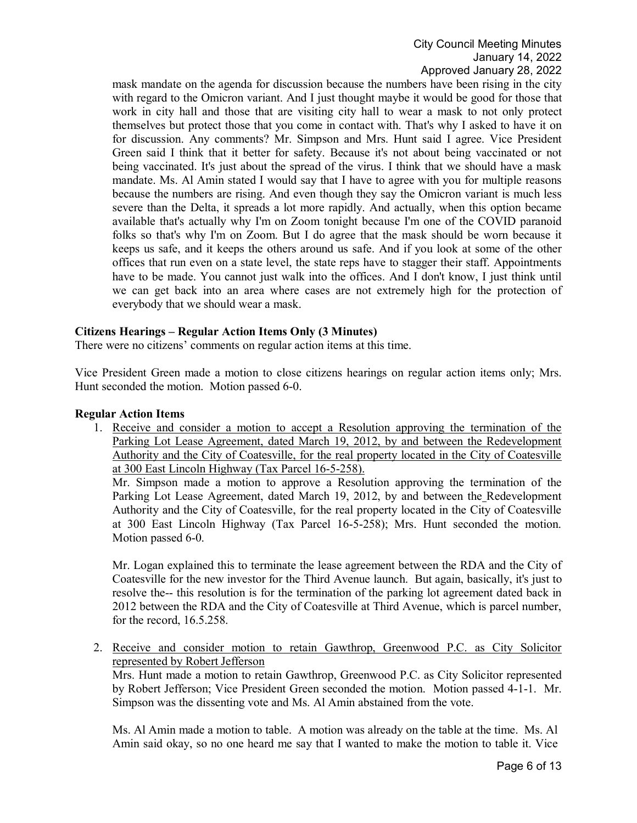mask mandate on the agenda for discussion because the numbers have been rising in the city with regard to the Omicron variant. And I just thought maybe it would be good for those that work in city hall and those that are visiting city hall to wear a mask to not only protect themselves but protect those that you come in contact with. That's why I asked to have it on for discussion. Any comments? Mr. Simpson and Mrs. Hunt said I agree. Vice President Green said I think that it better for safety. Because it's not about being vaccinated or not being vaccinated. It's just about the spread of the virus. I think that we should have a mask mandate. Ms. Al Amin stated I would say that I have to agree with you for multiple reasons because the numbers are rising. And even though they say the Omicron variant is much less severe than the Delta, it spreads a lot more rapidly. And actually, when this option became available that's actually why I'm on Zoom tonight because I'm one of the COVID paranoid folks so that's why I'm on Zoom. But I do agree that the mask should be worn because it keeps us safe, and it keeps the others around us safe. And if you look at some of the other offices that run even on a state level, the state reps have to stagger their staff. Appointments have to be made. You cannot just walk into the offices. And I don't know, I just think until we can get back into an area where cases are not extremely high for the protection of everybody that we should wear a mask.

## **Citizens Hearings – Regular Action Items Only (3 Minutes)**

There were no citizens' comments on regular action items at this time.

Vice President Green made a motion to close citizens hearings on regular action items only; Mrs. Hunt seconded the motion. Motion passed 6-0.

### **Regular Action Items**

1. Receive and consider a motion to accept a Resolution approving the termination of the Parking Lot Lease Agreement, dated March 19, 2012, by and between the Redevelopment Authority and the City of Coatesville, for the real property located in the City of Coatesville at 300 East Lincoln Highway (Tax Parcel 16-5-258).

Mr. Simpson made a motion to approve a Resolution approving the termination of the Parking Lot Lease Agreement, dated March 19, 2012, by and between the Redevelopment Authority and the City of Coatesville, for the real property located in the City of Coatesville at 300 East Lincoln Highway (Tax Parcel 16-5-258); Mrs. Hunt seconded the motion. Motion passed 6-0.

Mr. Logan explained this to terminate the lease agreement between the RDA and the City of Coatesville for the new investor for the Third Avenue launch. But again, basically, it's just to resolve the-- this resolution is for the termination of the parking lot agreement dated back in 2012 between the RDA and the City of Coatesville at Third Avenue, which is parcel number, for the record, 16.5.258.

2. Receive and consider motion to retain Gawthrop, Greenwood P.C. as City Solicitor represented by Robert Jefferson

Mrs. Hunt made a motion to retain Gawthrop, Greenwood P.C. as City Solicitor represented by Robert Jefferson; Vice President Green seconded the motion. Motion passed 4-1-1. Mr. Simpson was the dissenting vote and Ms. Al Amin abstained from the vote.

Ms. Al Amin made a motion to table. A motion was already on the table at the time. Ms. Al Amin said okay, so no one heard me say that I wanted to make the motion to table it. Vice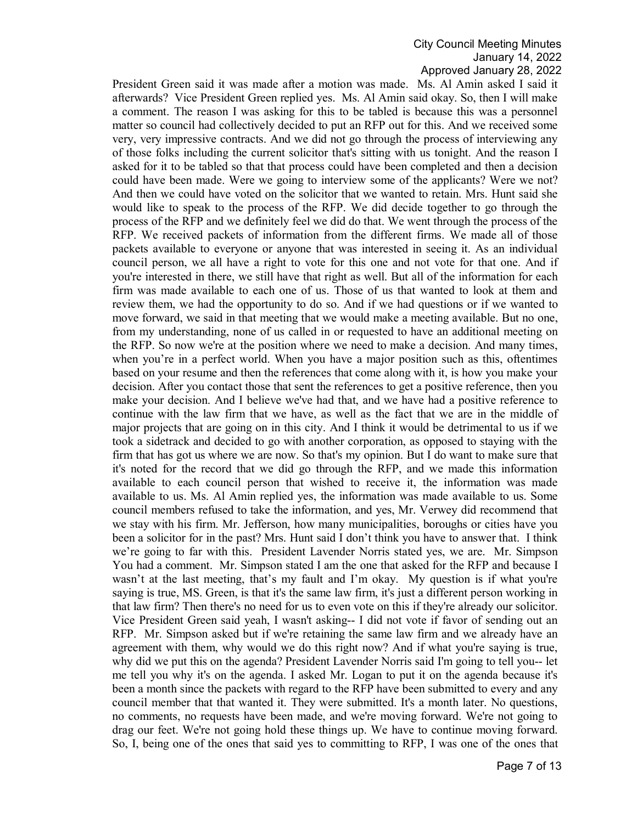President Green said it was made after a motion was made. Ms. Al Amin asked I said it afterwards? Vice President Green replied yes. Ms. Al Amin said okay. So, then I will make a comment. The reason I was asking for this to be tabled is because this was a personnel matter so council had collectively decided to put an RFP out for this. And we received some very, very impressive contracts. And we did not go through the process of interviewing any of those folks including the current solicitor that's sitting with us tonight. And the reason I asked for it to be tabled so that that process could have been completed and then a decision could have been made. Were we going to interview some of the applicants? Were we not? And then we could have voted on the solicitor that we wanted to retain. Mrs. Hunt said she would like to speak to the process of the RFP. We did decide together to go through the process of the RFP and we definitely feel we did do that. We went through the process of the RFP. We received packets of information from the different firms. We made all of those packets available to everyone or anyone that was interested in seeing it. As an individual council person, we all have a right to vote for this one and not vote for that one. And if you're interested in there, we still have that right as well. But all of the information for each firm was made available to each one of us. Those of us that wanted to look at them and review them, we had the opportunity to do so. And if we had questions or if we wanted to move forward, we said in that meeting that we would make a meeting available. But no one, from my understanding, none of us called in or requested to have an additional meeting on the RFP. So now we're at the position where we need to make a decision. And many times, when you're in a perfect world. When you have a major position such as this, oftentimes based on your resume and then the references that come along with it, is how you make your decision. After you contact those that sent the references to get a positive reference, then you make your decision. And I believe we've had that, and we have had a positive reference to continue with the law firm that we have, as well as the fact that we are in the middle of major projects that are going on in this city. And I think it would be detrimental to us if we took a sidetrack and decided to go with another corporation, as opposed to staying with the firm that has got us where we are now. So that's my opinion. But I do want to make sure that it's noted for the record that we did go through the RFP, and we made this information available to each council person that wished to receive it, the information was made available to us. Ms. Al Amin replied yes, the information was made available to us. Some council members refused to take the information, and yes, Mr. Verwey did recommend that we stay with his firm. Mr. Jefferson, how many municipalities, boroughs or cities have you been a solicitor for in the past? Mrs. Hunt said I don't think you have to answer that. I think we're going to far with this. President Lavender Norris stated yes, we are. Mr. Simpson You had a comment. Mr. Simpson stated I am the one that asked for the RFP and because I wasn't at the last meeting, that's my fault and I'm okay. My question is if what you're saying is true, MS. Green, is that it's the same law firm, it's just a different person working in that law firm? Then there's no need for us to even vote on this if they're already our solicitor. Vice President Green said yeah, I wasn't asking-- I did not vote if favor of sending out an RFP. Mr. Simpson asked but if we're retaining the same law firm and we already have an agreement with them, why would we do this right now? And if what you're saying is true, why did we put this on the agenda? President Lavender Norris said I'm going to tell you-- let me tell you why it's on the agenda. I asked Mr. Logan to put it on the agenda because it's been a month since the packets with regard to the RFP have been submitted to every and any council member that that wanted it. They were submitted. It's a month later. No questions, no comments, no requests have been made, and we're moving forward. We're not going to drag our feet. We're not going hold these things up. We have to continue moving forward. So, I, being one of the ones that said yes to committing to RFP, I was one of the ones that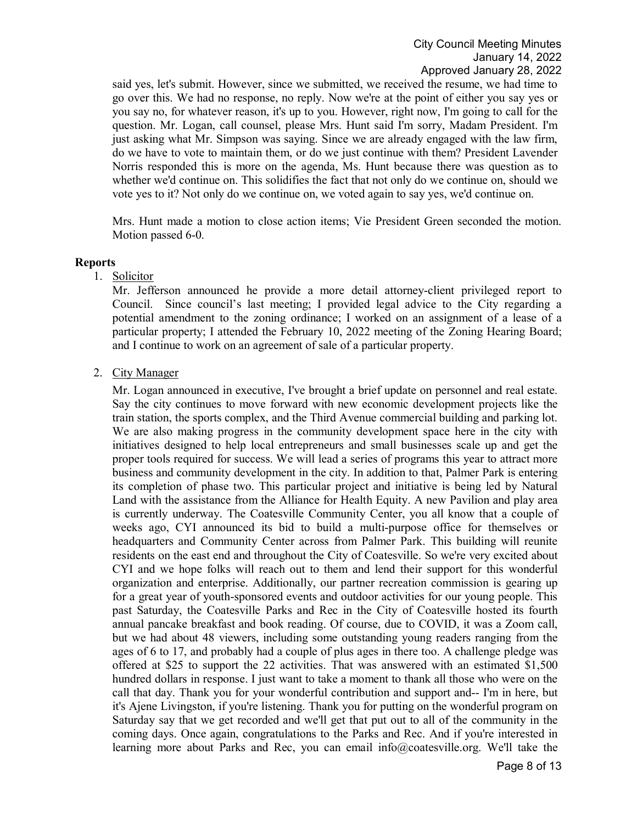said yes, let's submit. However, since we submitted, we received the resume, we had time to go over this. We had no response, no reply. Now we're at the point of either you say yes or you say no, for whatever reason, it's up to you. However, right now, I'm going to call for the question. Mr. Logan, call counsel, please Mrs. Hunt said I'm sorry, Madam President. I'm just asking what Mr. Simpson was saying. Since we are already engaged with the law firm, do we have to vote to maintain them, or do we just continue with them? President Lavender Norris responded this is more on the agenda, Ms. Hunt because there was question as to whether we'd continue on. This solidifies the fact that not only do we continue on, should we vote yes to it? Not only do we continue on, we voted again to say yes, we'd continue on.

Mrs. Hunt made a motion to close action items; Vie President Green seconded the motion. Motion passed 6-0.

#### **Reports**

1. Solicitor

Mr. Jefferson announced he provide a more detail attorney-client privileged report to Council. Since council's last meeting; I provided legal advice to the City regarding a potential amendment to the zoning ordinance; I worked on an assignment of a lease of a particular property; I attended the February 10, 2022 meeting of the Zoning Hearing Board; and I continue to work on an agreement of sale of a particular property.

2. City Manager

Mr. Logan announced in executive, I've brought a brief update on personnel and real estate. Say the city continues to move forward with new economic development projects like the train station, the sports complex, and the Third Avenue commercial building and parking lot. We are also making progress in the community development space here in the city with initiatives designed to help local entrepreneurs and small businesses scale up and get the proper tools required for success. We will lead a series of programs this year to attract more business and community development in the city. In addition to that, Palmer Park is entering its completion of phase two. This particular project and initiative is being led by Natural Land with the assistance from the Alliance for Health Equity. A new Pavilion and play area is currently underway. The Coatesville Community Center, you all know that a couple of weeks ago, CYI announced its bid to build a multi-purpose office for themselves or headquarters and Community Center across from Palmer Park. This building will reunite residents on the east end and throughout the City of Coatesville. So we're very excited about CYI and we hope folks will reach out to them and lend their support for this wonderful organization and enterprise. Additionally, our partner recreation commission is gearing up for a great year of youth-sponsored events and outdoor activities for our young people. This past Saturday, the Coatesville Parks and Rec in the City of Coatesville hosted its fourth annual pancake breakfast and book reading. Of course, due to COVID, it was a Zoom call, but we had about 48 viewers, including some outstanding young readers ranging from the ages of 6 to 17, and probably had a couple of plus ages in there too. A challenge pledge was offered at \$25 to support the 22 activities. That was answered with an estimated \$1,500 hundred dollars in response. I just want to take a moment to thank all those who were on the call that day. Thank you for your wonderful contribution and support and-- I'm in here, but it's Ajene Livingston, if you're listening. Thank you for putting on the wonderful program on Saturday say that we get recorded and we'll get that put out to all of the community in the coming days. Once again, congratulations to the Parks and Rec. And if you're interested in learning more about Parks and Rec, you can email info@coatesville.org. We'll take the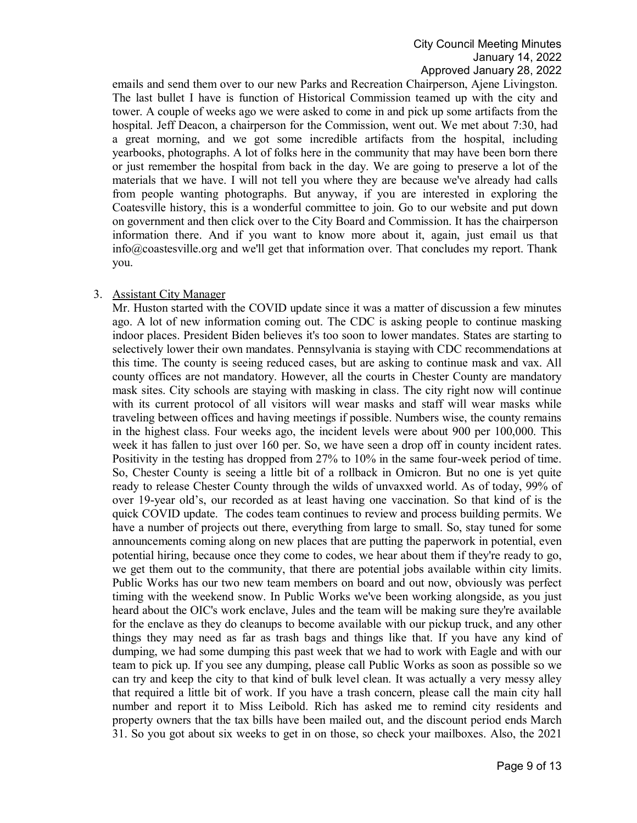emails and send them over to our new Parks and Recreation Chairperson, Ajene Livingston. The last bullet I have is function of Historical Commission teamed up with the city and tower. A couple of weeks ago we were asked to come in and pick up some artifacts from the hospital. Jeff Deacon, a chairperson for the Commission, went out. We met about 7:30, had a great morning, and we got some incredible artifacts from the hospital, including yearbooks, photographs. A lot of folks here in the community that may have been born there or just remember the hospital from back in the day. We are going to preserve a lot of the materials that we have. I will not tell you where they are because we've already had calls from people wanting photographs. But anyway, if you are interested in exploring the Coatesville history, this is a wonderful committee to join. Go to our website and put down on government and then click over to the City Board and Commission. It has the chairperson information there. And if you want to know more about it, again, just email us that info@coastesville.org and we'll get that information over. That concludes my report. Thank you.

## 3. Assistant City Manager

Mr. Huston started with the COVID update since it was a matter of discussion a few minutes ago. A lot of new information coming out. The CDC is asking people to continue masking indoor places. President Biden believes it's too soon to lower mandates. States are starting to selectively lower their own mandates. Pennsylvania is staying with CDC recommendations at this time. The county is seeing reduced cases, but are asking to continue mask and vax. All county offices are not mandatory. However, all the courts in Chester County are mandatory mask sites. City schools are staying with masking in class. The city right now will continue with its current protocol of all visitors will wear masks and staff will wear masks while traveling between offices and having meetings if possible. Numbers wise, the county remains in the highest class. Four weeks ago, the incident levels were about 900 per 100,000. This week it has fallen to just over 160 per. So, we have seen a drop off in county incident rates. Positivity in the testing has dropped from 27% to 10% in the same four-week period of time. So, Chester County is seeing a little bit of a rollback in Omicron. But no one is yet quite ready to release Chester County through the wilds of unvaxxed world. As of today, 99% of over 19-year old's, our recorded as at least having one vaccination. So that kind of is the quick COVID update. The codes team continues to review and process building permits. We have a number of projects out there, everything from large to small. So, stay tuned for some announcements coming along on new places that are putting the paperwork in potential, even potential hiring, because once they come to codes, we hear about them if they're ready to go, we get them out to the community, that there are potential jobs available within city limits. Public Works has our two new team members on board and out now, obviously was perfect timing with the weekend snow. In Public Works we've been working alongside, as you just heard about the OIC's work enclave, Jules and the team will be making sure they're available for the enclave as they do cleanups to become available with our pickup truck, and any other things they may need as far as trash bags and things like that. If you have any kind of dumping, we had some dumping this past week that we had to work with Eagle and with our team to pick up. If you see any dumping, please call Public Works as soon as possible so we can try and keep the city to that kind of bulk level clean. It was actually a very messy alley that required a little bit of work. If you have a trash concern, please call the main city hall number and report it to Miss Leibold. Rich has asked me to remind city residents and property owners that the tax bills have been mailed out, and the discount period ends March 31. So you got about six weeks to get in on those, so check your mailboxes. Also, the 2021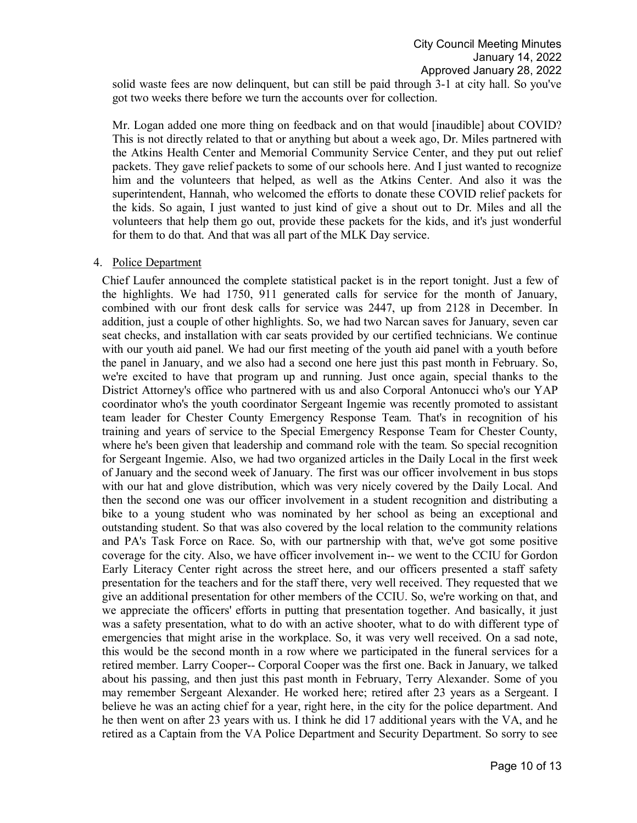solid waste fees are now delinquent, but can still be paid through 3-1 at city hall. So you've got two weeks there before we turn the accounts over for collection.

Mr. Logan added one more thing on feedback and on that would [inaudible] about COVID? This is not directly related to that or anything but about a week ago, Dr. Miles partnered with the Atkins Health Center and Memorial Community Service Center, and they put out relief packets. They gave relief packets to some of our schools here. And I just wanted to recognize him and the volunteers that helped, as well as the Atkins Center. And also it was the superintendent, Hannah, who welcomed the efforts to donate these COVID relief packets for the kids. So again, I just wanted to just kind of give a shout out to Dr. Miles and all the volunteers that help them go out, provide these packets for the kids, and it's just wonderful for them to do that. And that was all part of the MLK Day service.

### 4. Police Department

Chief Laufer announced the complete statistical packet is in the report tonight. Just a few of the highlights. We had 1750, 911 generated calls for service for the month of January, combined with our front desk calls for service was 2447, up from 2128 in December. In addition, just a couple of other highlights. So, we had two Narcan saves for January, seven car seat checks, and installation with car seats provided by our certified technicians. We continue with our youth aid panel. We had our first meeting of the youth aid panel with a youth before the panel in January, and we also had a second one here just this past month in February. So, we're excited to have that program up and running. Just once again, special thanks to the District Attorney's office who partnered with us and also Corporal Antonucci who's our YAP coordinator who's the youth coordinator Sergeant Ingemie was recently promoted to assistant team leader for Chester County Emergency Response Team. That's in recognition of his training and years of service to the Special Emergency Response Team for Chester County, where he's been given that leadership and command role with the team. So special recognition for Sergeant Ingemie. Also, we had two organized articles in the Daily Local in the first week of January and the second week of January. The first was our officer involvement in bus stops with our hat and glove distribution, which was very nicely covered by the Daily Local. And then the second one was our officer involvement in a student recognition and distributing a bike to a young student who was nominated by her school as being an exceptional and outstanding student. So that was also covered by the local relation to the community relations and PA's Task Force on Race. So, with our partnership with that, we've got some positive coverage for the city. Also, we have officer involvement in-- we went to the CCIU for Gordon Early Literacy Center right across the street here, and our officers presented a staff safety presentation for the teachers and for the staff there, very well received. They requested that we give an additional presentation for other members of the CCIU. So, we're working on that, and we appreciate the officers' efforts in putting that presentation together. And basically, it just was a safety presentation, what to do with an active shooter, what to do with different type of emergencies that might arise in the workplace. So, it was very well received. On a sad note, this would be the second month in a row where we participated in the funeral services for a retired member. Larry Cooper-- Corporal Cooper was the first one. Back in January, we talked about his passing, and then just this past month in February, Terry Alexander. Some of you may remember Sergeant Alexander. He worked here; retired after 23 years as a Sergeant. I believe he was an acting chief for a year, right here, in the city for the police department. And he then went on after 23 years with us. I think he did 17 additional years with the VA, and he retired as a Captain from the VA Police Department and Security Department. So sorry to see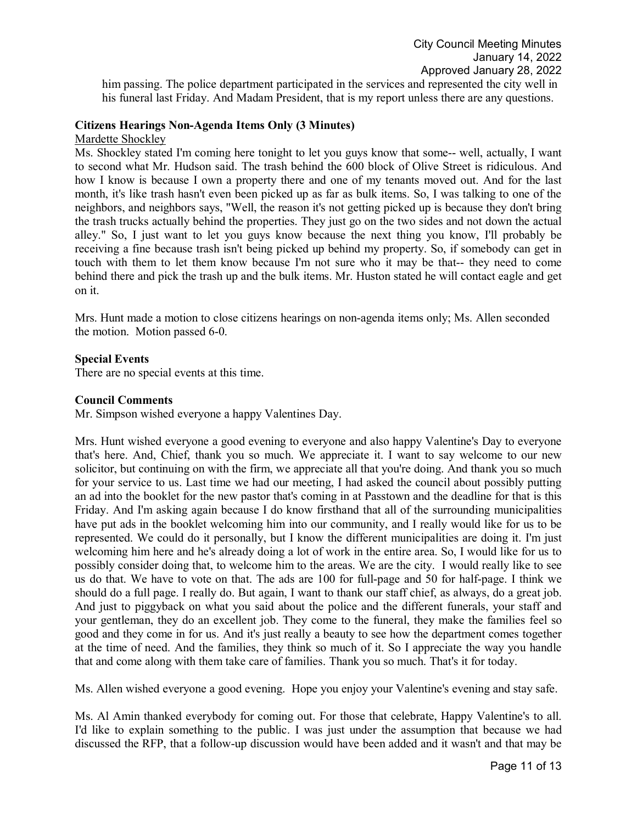him passing. The police department participated in the services and represented the city well in his funeral last Friday. And Madam President, that is my report unless there are any questions.

## **Citizens Hearings Non-Agenda Items Only (3 Minutes)**

Mardette Shockley

Ms. Shockley stated I'm coming here tonight to let you guys know that some-- well, actually, I want to second what Mr. Hudson said. The trash behind the 600 block of Olive Street is ridiculous. And how I know is because I own a property there and one of my tenants moved out. And for the last month, it's like trash hasn't even been picked up as far as bulk items. So, I was talking to one of the neighbors, and neighbors says, "Well, the reason it's not getting picked up is because they don't bring the trash trucks actually behind the properties. They just go on the two sides and not down the actual alley." So, I just want to let you guys know because the next thing you know, I'll probably be receiving a fine because trash isn't being picked up behind my property. So, if somebody can get in touch with them to let them know because I'm not sure who it may be that-- they need to come behind there and pick the trash up and the bulk items. Mr. Huston stated he will contact eagle and get on it.

Mrs. Hunt made a motion to close citizens hearings on non-agenda items only; Ms. Allen seconded the motion. Motion passed 6-0.

### **Special Events**

There are no special events at this time.

#### **Council Comments**

Mr. Simpson wished everyone a happy Valentines Day.

Mrs. Hunt wished everyone a good evening to everyone and also happy Valentine's Day to everyone that's here. And, Chief, thank you so much. We appreciate it. I want to say welcome to our new solicitor, but continuing on with the firm, we appreciate all that you're doing. And thank you so much for your service to us. Last time we had our meeting, I had asked the council about possibly putting an ad into the booklet for the new pastor that's coming in at Passtown and the deadline for that is this Friday. And I'm asking again because I do know firsthand that all of the surrounding municipalities have put ads in the booklet welcoming him into our community, and I really would like for us to be represented. We could do it personally, but I know the different municipalities are doing it. I'm just welcoming him here and he's already doing a lot of work in the entire area. So, I would like for us to possibly consider doing that, to welcome him to the areas. We are the city. I would really like to see us do that. We have to vote on that. The ads are 100 for full-page and 50 for half-page. I think we should do a full page. I really do. But again, I want to thank our staff chief, as always, do a great job. And just to piggyback on what you said about the police and the different funerals, your staff and your gentleman, they do an excellent job. They come to the funeral, they make the families feel so good and they come in for us. And it's just really a beauty to see how the department comes together at the time of need. And the families, they think so much of it. So I appreciate the way you handle that and come along with them take care of families. Thank you so much. That's it for today.

Ms. Allen wished everyone a good evening. Hope you enjoy your Valentine's evening and stay safe.

Ms. Al Amin thanked everybody for coming out. For those that celebrate, Happy Valentine's to all. I'd like to explain something to the public. I was just under the assumption that because we had discussed the RFP, that a follow-up discussion would have been added and it wasn't and that may be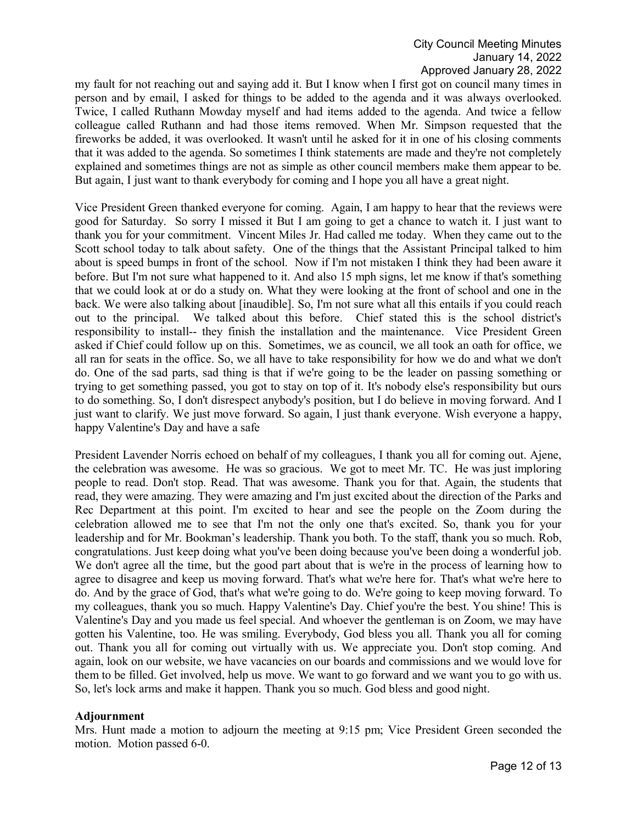my fault for not reaching out and saying add it. But I know when I first got on council many times in person and by email, I asked for things to be added to the agenda and it was always overlooked. Twice, I called Ruthann Mowday myself and had items added to the agenda. And twice a fellow colleague called Ruthann and had those items removed. When Mr. Simpson requested that the fireworks be added, it was overlooked. It wasn't until he asked for it in one of his closing comments that it was added to the agenda. So sometimes I think statements are made and they're not completely explained and sometimes things are not as simple as other council members make them appear to be. But again, I just want to thank everybody for coming and I hope you all have a great night.

Vice President Green thanked everyone for coming. Again, I am happy to hear that the reviews were good for Saturday. So sorry I missed it But I am going to get a chance to watch it. I just want to thank you for your commitment. Vincent Miles Jr. Had called me today. When they came out to the Scott school today to talk about safety. One of the things that the Assistant Principal talked to him about is speed bumps in front of the school. Now if I'm not mistaken I think they had been aware it before. But I'm not sure what happened to it. And also 15 mph signs, let me know if that's something that we could look at or do a study on. What they were looking at the front of school and one in the back. We were also talking about [inaudible]. So, I'm not sure what all this entails if you could reach out to the principal. We talked about this before. Chief stated this is the school district's responsibility to install-- they finish the installation and the maintenance. Vice President Green asked if Chief could follow up on this. Sometimes, we as council, we all took an oath for office, we all ran for seats in the office. So, we all have to take responsibility for how we do and what we don't do. One of the sad parts, sad thing is that if we're going to be the leader on passing something or trying to get something passed, you got to stay on top of it. It's nobody else's responsibility but ours to do something. So, I don't disrespect anybody's position, but I do believe in moving forward. And I just want to clarify. We just move forward. So again, I just thank everyone. Wish everyone a happy, happy Valentine's Day and have a safe

President Lavender Norris echoed on behalf of my colleagues, I thank you all for coming out. Ajene, the celebration was awesome. He was so gracious. We got to meet Mr. TC. He was just imploring people to read. Don't stop. Read. That was awesome. Thank you for that. Again, the students that read, they were amazing. They were amazing and I'm just excited about the direction of the Parks and Rec Department at this point. I'm excited to hear and see the people on the Zoom during the celebration allowed me to see that I'm not the only one that's excited. So, thank you for your leadership and for Mr. Bookman's leadership. Thank you both. To the staff, thank you so much. Rob, congratulations. Just keep doing what you've been doing because you've been doing a wonderful job. We don't agree all the time, but the good part about that is we're in the process of learning how to agree to disagree and keep us moving forward. That's what we're here for. That's what we're here to do. And by the grace of God, that's what we're going to do. We're going to keep moving forward. To my colleagues, thank you so much. Happy Valentine's Day. Chief you're the best. You shine! This is Valentine's Day and you made us feel special. And whoever the gentleman is on Zoom, we may have gotten his Valentine, too. He was smiling. Everybody, God bless you all. Thank you all for coming out. Thank you all for coming out virtually with us. We appreciate you. Don't stop coming. And again, look on our website, we have vacancies on our boards and commissions and we would love for them to be filled. Get involved, help us move. We want to go forward and we want you to go with us. So, let's lock arms and make it happen. Thank you so much. God bless and good night.

### **Adjournment**

Mrs. Hunt made a motion to adjourn the meeting at 9:15 pm; Vice President Green seconded the motion. Motion passed 6-0.